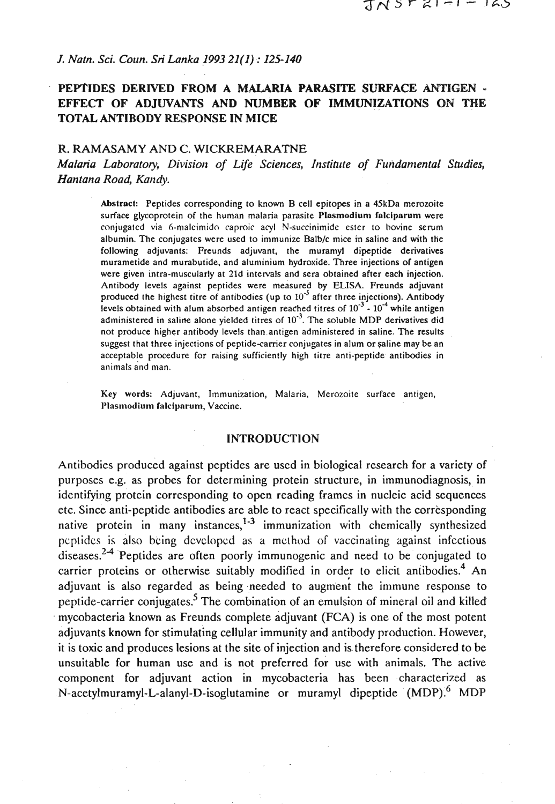## *J. Natn. Sci. Coun. Sri Lanka 1993* **21(1)** : **125-140**

# **PEPTIDES DERIVED FROM A MALARIA PARASITE SURFACE ANTIGEN** - **EFFECT OF ADJUVANTS AND NUMBER OF IMMUNIZATIONS ON THE TOTAL ANTIBODY RESPONSE IN MICE**

# R. RAMASAMY AND C. WICKREMARATNE

*Malaria Laboratory, Division of Life Sciences, Institute of Fundamental Studies,* Hantana Road, Kandy.

Abstract: Peptides corresponding to known B cell epitopes in a 4SkDa merozoite surface glycoprotein of the human malaria parasite Plasmodium falciparum were conjugated via 6-maleimido caproic acyl N-succinimide ester to bovine serum albumin. The conjugates were used to immunize Balb/c mice in saline and with the following adjuvants: Freunds adjuvant, the muramyl dipeptide derivatives murametide and murabutide, and aluminium hydroxide. Three injections of antigen were given intra-muscularly at 21d intervals and sera obtained after each injection. Antibody levels against peptides were measured by ELISA. Freunds adjuvant produced the highest titre of antibodies (up to **lo-'** after three injections). Antibody levels obtained with alum absorbed antigen reached titres of  $10^{-3}$  -  $10^{-4}$  while antigen administered in saline alone yielded titres of 10<sup>-3</sup>. The soluble MDP derivatives did not produce higher antibody levels than antigen administered in saline. The results suggest that three injections of peptide-carrier conjugates in alum or saline may be an acceptable procedure for raising sufficiently high titre anti-peptide antibodies in animals and man.

**Key** words: Adjuvant, Immunization, Malaria. Merozoite surface antigen, Plasmodium falciparum, Vaccine.

#### **INTRODUCTION**

Antibodies produced against peptides are used in biological research for a variety of purposes e.g. as probes for determining protein structure, in immunodiagnosis, in identifying protein corresponding to open reading frames in nucleic acid sequences etc. Since anti-peptide antibodies are able to react specifically with the corresponding native protein in many instances, $1-3$  immunization with chemically synthesized pcptidcs is also being dcvclopcd as a mclhod of vaccinating against infectious diseases. $24$  Peptides are often poorly immunogenic and need to be conjugated to carrier proteins or otherwise suitably modified in order to elicit antibodies.<sup>4</sup> An adjuvant is also regarded as being needed to augment the immune response to peptide-carrier conjugates.<sup>5</sup> The combination of an emulsion of mineral oil and killed mycobacteria known as Freunds complete adjuvant (FCA) is one of the most potent adjuvants known for stimulating cellular immunity and antibody production. However, it is toxic and produces lesions at the site of injection and is.therefore considered to be unsuitable for human use and is not preferred for use with animals. The active component for adjuvant action in mycobacteria has been .characterized as N-acetylmuramyl-L-alanyl-D-isoglutamine or muramyl dipeptide (MDP).<sup>6</sup> MDP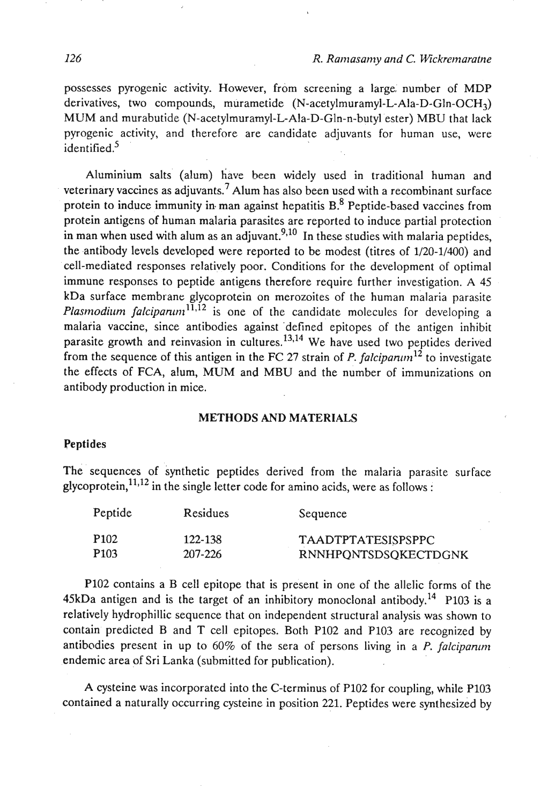possesses pyrogenic activity. However, from screening **a** large, number of MDP derivatives, two compounds, murametide **(N-acetylmuramyl-L-Ala-D-Gln-OCH3)**  MUM and murabutide (N-acetylmuramyl-L-Ala-D-Gln-n-butyl ester) MBU that lack pyrogenic activity, and therefore are candidate adjuvants for human use, were identified.<sup>5</sup>

Aluminium salts (alum) have been widely used in traditional human and veterinary vaccines as adjuvants.<sup>7</sup> Alum has also been used with a recombinant surface protein to induce immunity in man against hepatitis B.<sup>8</sup> Peptide-based vaccines from protein antigens of human malaria parasites are reported to induce partial protection in man when used with alum as an adjuvant.<sup>9,10</sup> In these studies with malaria peptides, the antibody levels developed were reported to be modest (titres of 1120-11400) and cell-mediated responses relatively poor. Conditions for the development of optimal immune responses to peptide antigens therefore require further investigation. **A** 45 kDa surface membrane glycoprotein on merozoites of the human malaria parasite Plasmodium falcipantni<sup>11,12</sup> is one of the candidate molecules for developing a malaria vaccine, since antibodies against 'defined epitopes of the antigen inhibit parasite growth and reinvasion in cultures. $^{13,14}$  We have used two peptides derived from the sequence of this antigen in the FC 27 strain of P. falcipanum<sup>12</sup> to investigate the effects of FCA, alum, MUM and MBU and the number of immunizations on antibody production in mice.

## **METHODS AND MATERIALS**

#### **Peptides**

The sequences of synthetic peptides derived from the malaria parasite surface glycoprotein,  $11,12$  in the single letter code for amino acids, were as follows :

| Peptide | <b>Residues</b> | Sequence                  |
|---------|-----------------|---------------------------|
| P102    | 122-138         | <b>TAADTPTATESISPSPPC</b> |
| P103    | 207-226         | RNNHPQNTSDSQKECTDGNK      |

P102 contains a B cell epitope that is present in one of the allelic forms of the 45kDa antigen and is the target of an inhibitory monoclonal antibody.<sup>14</sup> P103 is a relatively hydrophillic sequence that on independent structural analysis was shown to contain predicted B and T cell epitopes. Both P102 and P103 are recognized by antibodies present in up to  $60\%$  of the sera of persons living in a P. falcipanum endemic area of Sri Lanka (submitted for publication).

A cysteine was incorporated into the C-terminus of PI02 for coupling, while P103 contained a naturally occurring cysteine in position 221. Peptides were synthesized by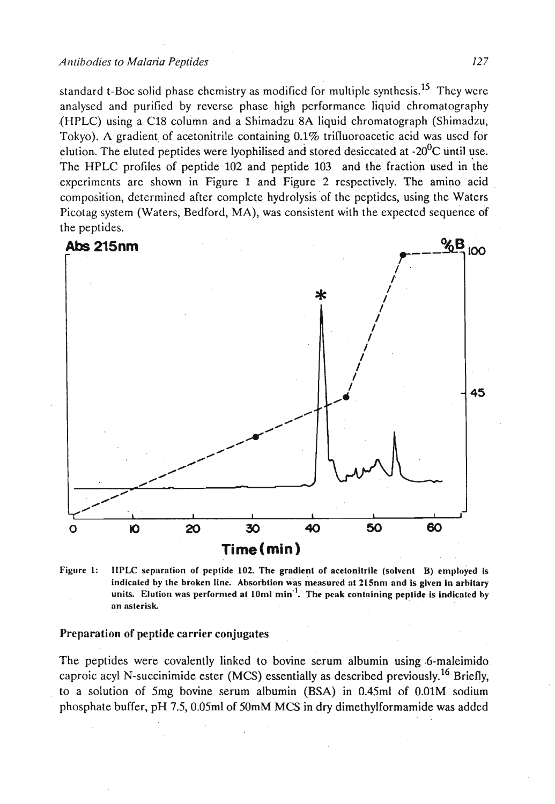standard t-Boc solid phase chemistry as modified for multiple synthesis.<sup>15</sup> They were analysed and purified by reverse phase high performance liquid chromatography (HPLC) using a C18 column and a Shimadzu 8A liquid chromatograph (Shimadzu, Tokyo). A gradient of acetonitrile containing 0.1% trifluoroacetic acid was used for elution. The eluted peptides were lyophilised and stored desiccated at  $-20^0$ C until use. The HPLC profiles of peptide 102 and peptide 103 and the fraction used in the experiments are shown in Figure 1 and Figure 2 respectively. The amino acid composition, determined after complete hydrolysis of the peptides, using the Waters Picotag system (Waters, Bedford, MA), was consistent with the expected sequence of the peptides.



**Figure 1: IlPLC sepnrnlion or peplide 102. The gradienl of acelonilrile (solvent B) employed is**  indicated by the broken line. Absorbtion was measured at 215nm and is given in arbitary units. Elution was performed at 10ml min<sup>-1</sup>. The peak containing peptide is indicated by **on nsterisk.** 

# Preparation of peptide carrier conjugates

The peptides were covalently linked to bovine serum albumin using .6-maleimido caproic acyl N-succinimide ester (MCS) essentially as described previously.<sup>16</sup> Briefly, to a solution of 5mg bovine serum albumin (BSA) in 0.45ml of 0.01M sodium phosphate buffer, pH 7.5,0.05ml of 50mM MCS in dry dimethylformamide was added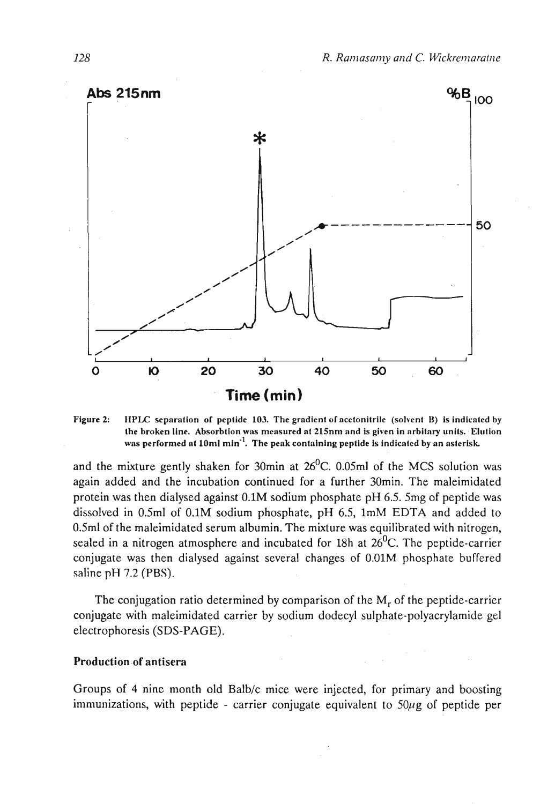

Figure 2: IIPLC separation of peptide 103. The gradient of acetonitrile (solvent B) is indicated by the broken line. Absorbtion was measured at 215nm and is given in arbitary units. Elution was performed at 10ml min<sup>-1</sup>. The peak containing peptide is indicated by an asterisk.

and the mixture gently shaken for 30min at  $26^{\circ}$ C. 0.05ml of the MCS solution was again added and the incubation continued for a further 30min. The maleimidated protein was then dialysed against 0.1M sodium phosphate pH 6.5.5mg of peptide was dissolved in 0.5ml of 0.1M sodium phosphate, pH 6.5, 1mM EDTA and added to 0.5ml of the maleimidated serum albumin. The mixture was equilibrated with nitrogen, sealed in a nitrogen atmosphere and incubated for 18h at 26<sup>0</sup>C. The peptide-carrier conjugate was then dialysed against several changes of 0.01M phosphate buffered saline pH 7.2 (PBS).

The conjugation ratio determined by comparison of the  $M_r$  of the peptide-carrier conjugate with maleimidated carrier by sodium dodecyl sulphate-polyacrylamide gel electrophoresis (SDS-PAGE).

## **Production .of antisera**

Groups of 4 nine month old Balb/c mice were injected, for primary and boosting immunizations, with peptide - carrier conjugate equivalent to  $50\mu$ g of peptide per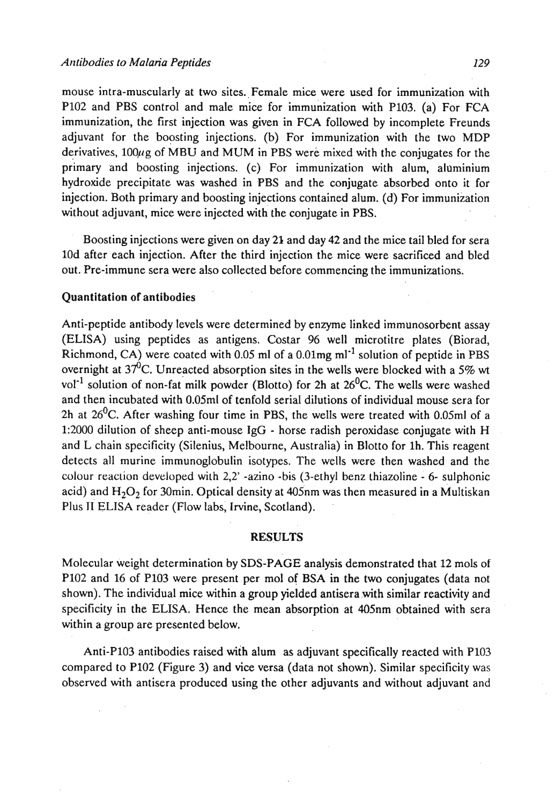mouse intra-muscularly at two sites. Female mice were used for immunization with PI02 and PBS control and male mice for immunization with P103. (a) For FCA immunization, the first injection was given in FCA followed by incomplete Freunds adjuvant for the boosting injections. (b) For immunization with the two MDP derivatives,  $100\mu$ g of MBU and MUM in PBS were mixed with the conjugates for the primary and boosting injections. (c) For immunization with alum, aluminium hydroxide precipitate was washed in PBS and the conjugate absorbed onto it for injection. Both primary and boosting injections contained alum. (d) For immunization without adjuvant, mice were injected with the conjugate in PBS.

Boosting injections were given on day 21 and day 42 and the mice tail bled for sera 10d after each injection. After the third injection the mice were sacrificed and bled out. Pre-immune sera were also collected before commencing the immunizations.

## Quantitation of antibodies

Anti-peptide antibody levels were determined by enzyme linked immunosorbent assay (ELISA) using peptides as antigens. Costar 96 well microtitre plates (Biorad, Richmond, CA) were coated with 0.05 ml of a 0.01mg ml<sup>-1</sup> solution of peptide in PBS overnight at  $37^6$ C. Unreacted absorption sites in the wells were blocked with a 5% wt vol<sup>-1</sup> solution of non-fat milk powder (Blotto) for 2h at 26<sup>0</sup>C. The wells were washed and then incubated with 0.05ml of tenfold serial dilutions of individual mouse sera for 2h at  $26^{\circ}$ C. After washing four time in PBS, the wells were treated with 0.05ml of a 1:2000 dilution of sheep anti-mouse IgG - horse radish peroxidase conjugate with H and L chain specificity (Silenius, Melbourne, Australia) in Blotto for lh. This reagent detects all murine immunoglobulin isotypes. The wells were then washed and the colour reaction developed with **2,2'** -azino -bis (3-ethyl benz thiazoline - 6- sulphonic acid) and  $H_2O_2$  for 30min. Optical density at 405nm was then measured in a Multiskan Plus II ELISA reader (Flow labs, Irvine, Scotland).

# **RESULTS**

Molecular weight determination by SDS-PAGE analysis demonstrated that 12 mols of P102 and 16 of PI03 were present per mol of BSA in the two conjugates (data not shown). The individual mice within a group yielded antisera with similar reactivity and specificity in the ELISA. Hence the mean absorption at 405nm obtained with sera within a group are presented below.

Anti-PI03 antibodies raised with alum as adjuvant specifically reacted with PI03 compared to P102 (Figure 3) and vice versa (data not shown). Similar specificity was observed with antisera produced using the other adjuvants and without adjuvant and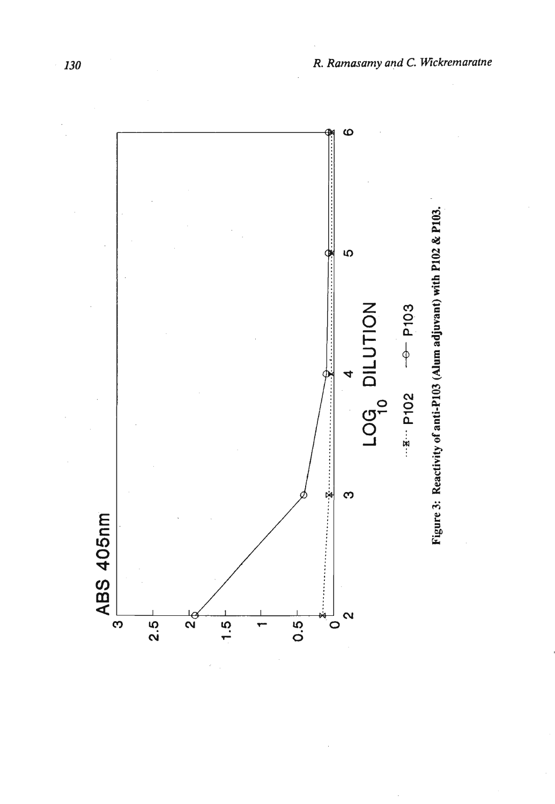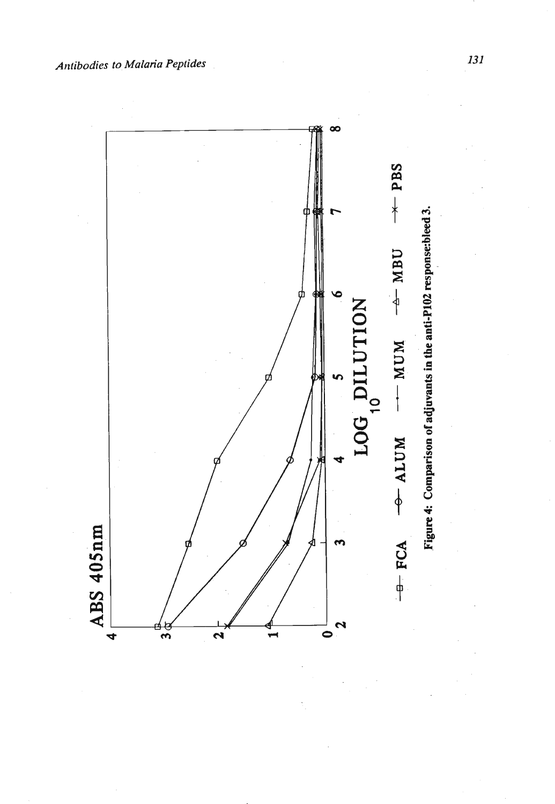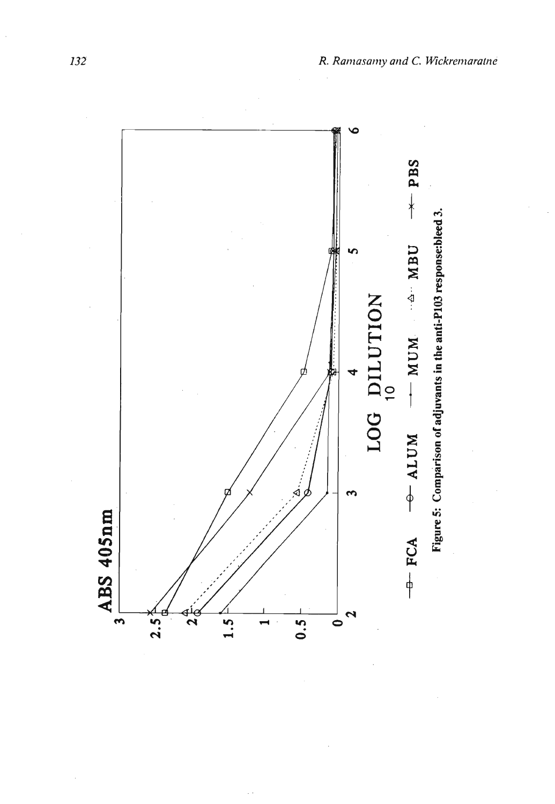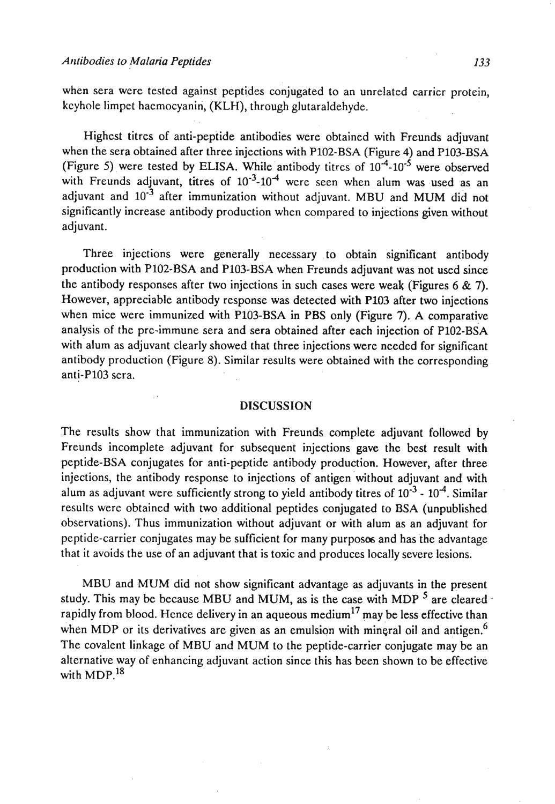when sera were tested against peptides conjugated to an unrelated carrier protein, kcyhole limpet haemocyanin, (KLH), through glutaraldehyde.

Highest titres of anti-peptide antibodies were obtained with Freunds adjuvant when the sera obtained after three injections with P102-BSA (Figure 4) and P103-BSA (Figure 5) were tested by ELISA. While antibody titres of  $10^{-4}$ - $10^{-5}$  were observed with Freunds adjuvant, titres of  $10^{-3}$ - $10^{-4}$  were seen when alum was used as an adjuvant and  $10^{-3}$  after immunization without adjuvant. MBU and MUM did not significantly increase antibody production when compared to injections given without adjuvant.

Three injections were generally necessary .to obtain significant antibody production with P102-BSA and P103-BSA when Freunds adjuvant was not used since the antibody responses after two injections in such cases were weak (Figures 6 & 7). However, appreciable antibody response was detected with PI03 after two injections when mice were immunized with P103-BSA in PBS only (Figure 7). A comparative analysis of the pre-immune sera and sera obtained after each injection of P102-BSA with alum as adjuvant clearly showed that three injections were needed for significant antibody production (Figure 8). Similar results were obtained with the corresponding anti-PI03 sera.

## DISCUSSION

The results show that immunization with Freunds complete adjuvant followed by Freunds incomplete adjuvant for subsequent injections gave the best result with peptide-BSA conjugates for anti-peptide antibody production. However, after three injections, the antibody response to injections of antigen 'without adjuvant and with alum as adjuvant were sufficiently strong to yield antibody titres of  $10^{-3}$  -  $10^{-4}$ . Similar results were obtained with two additional peptides conjugated to BSA (unpublished observations). Thus immunization without adjuvant or with alum as an adjuvant for peptide-carrier conjugates may be sufficient for manypurposes and has the advantage that it avoids the use of an adjuvant that is toxic and produces locally severe lesions.

MBU and MUM did not show significant advantage as adjuvants in the present study. This may be because MBU and MUM, as is the case with MDP  $<sup>5</sup>$  are cleared -</sup> rapidly from blood. Hence delivery in an aqueous medium<sup>17</sup> may be less effective than when MDP or its derivatives are given as an emulsion with mineral oil and antigen.<sup>6</sup> The covalent linkage of MBU and MUM to the peptide-carrier conjugate may be an alternative way of enhancing adjuvant action since this has been shown to be effective with MDP. $^{18}$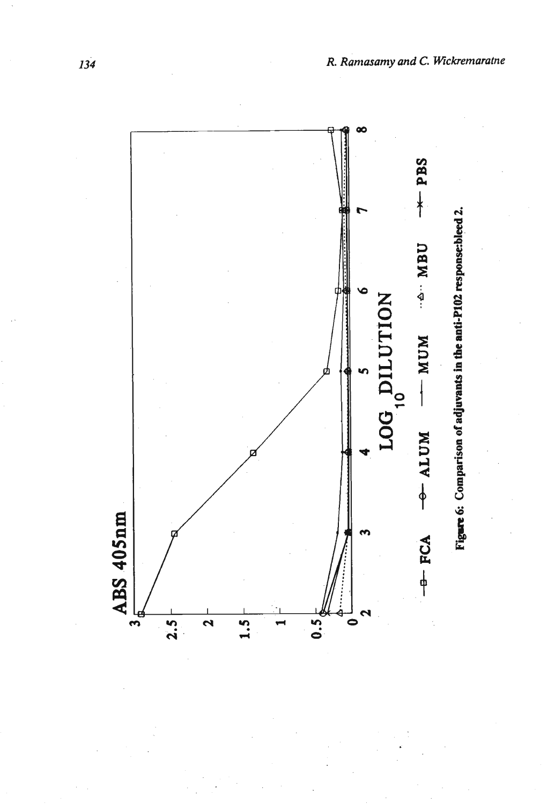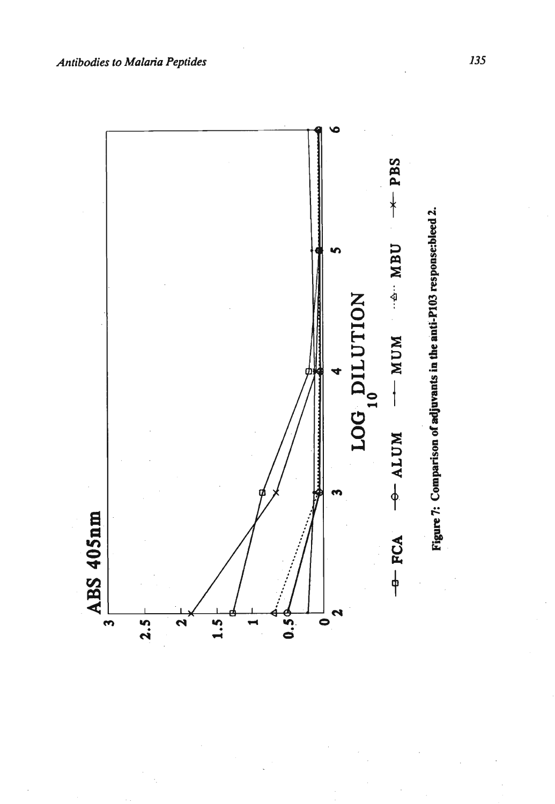

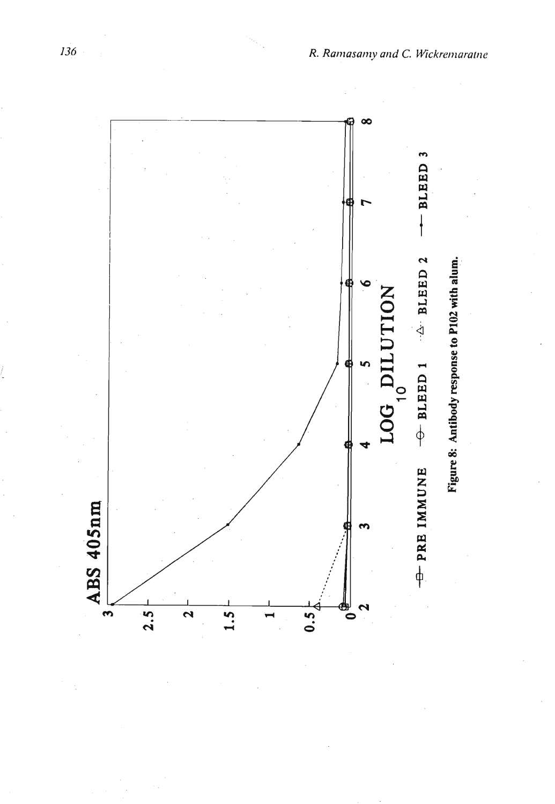

136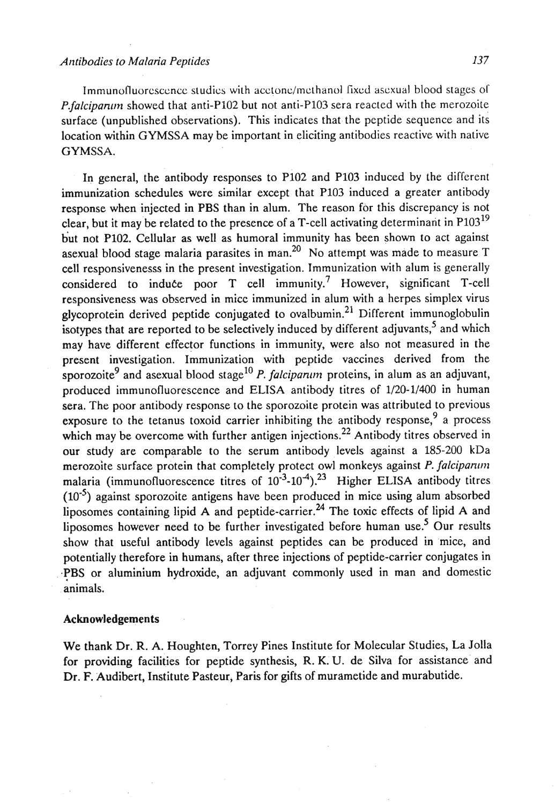Immunofluorescence studies with acetone/methanol fixed asexual blood stages of *P.falcipanun* showed that anti-P102 but not anti-P103 sera reacted with the merozoite surface (unpublished observations). This indicates that the peptide sequence and its location within GYMSSA may be important in eliciting antibodies reactive with native GYMSSA.

In general, the antibody responses to P102 and PI03 induced by the different immunization schedules were similar except that PI03 induced a greater antibody response when injected in PBS than in alum. The reason for this discrepancy is not clear, but it may be related to the presence of a T-cell activating determinant in  $P103^{19}$ but not P102. Cellular as well as humoral immunity has been shown to act against asexual blood stage malaria parasites in man.<sup>20</sup> No attempt was made to measure  $T$ cell responsivenesss in the present investigation. Immunization with alum is generally considered to induce poor  $T$  cell immunity.<sup>7</sup> However, significant  $T$ -cell responsiveness was observed in mice immunized in alum with a herpes simplex virus glycoprotein derived peptide conjugated to ovalbumin.<sup>21</sup> Different immunoglobulin isotypes that are reported to be selectively induced by different adjuvants,  $\delta$  and which may have different effector functions in immunity, were also not measured in the present investigation. Immunization with peptide vaccines derived from the sporozoite<sup>9</sup> and asexual blood stage<sup>10</sup> P. *falcipanum* proteins, in alum as an adjuvant, produced immunofluorescence and ELISA antibody titres of 1/20-1/400 in human sera. The poor antibody response to the sporozoite protein was attributed to previous exposure to the tetanus toxoid carrier inhibiting the antibody response,  $9^9$  a process which may be overcome with further antigen injections.<sup>22</sup> Antibody titres observed in our study are comparable to the serum antibody levels against a 185-200 kDa merozoite surface protein that completely protect owl monkeys against P. *falciparum* malaria (immunofluorescence titres of  $10^{-3}$ - $10^{-4}$ ).<sup>23</sup> Higher ELISA antibody titres  $(10^{-5})$  against sporozoite antigens have been produced in mice using alum absorbed liposomes containing lipid  $\overline{A}$  and peptide-carrier.<sup>24</sup> The toxic effects of lipid  $\overline{A}$  and liposomes however need to be further investigated before human use.<sup>5</sup> Our results show that useful antibody levels against peptides can be produced in mice, and potentially therefore in humans, after three injections of peptide-carrier conjugates in **.PBS** or aluminium hydroxide, an adjuvant commonly used in man and domestic animals.

#### **Acknowledgements**

We thank Dr. R. A. Houghten, Torrey Pines Institute for Molecular Studies, La Jolla for providing facilities for peptide synthesis, R. **KiU.** de Silva for assistance' and Dr. F. Audibert, Institute Pasteur, Paris for gifts of murametide and murabutide.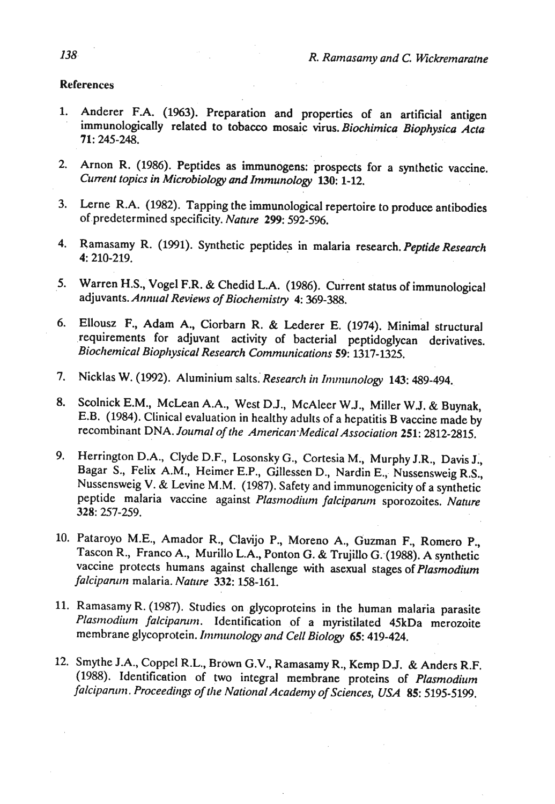#### References

- 1. Anderer F.A. (1963). Preparation and properties of an artificial antigen immunologically related to tobacco mosaic virus. *Biochimica Biophysics Acta*  71: **245-248.**
- Arnon R. (1986). Peptides as immunogens: prospects for a synthetic vaccine.  $2.$ *Current topics in Microbiology* **and** *Immunology 130:* **1-12.**
- Lerne R.A. **(1982).** Tapping the immunological repertoire to produce antibodies of predetermined specificity. *Nahtre* 299: **592-596.**
- Ramasamy R. **(1991).** Synthetic peptides in malaria research. *Peptide Research*  4: **210-219.**
- Warren H.S., Vogel F.R. & Chedid L.A. **(1986).** current status of immunological  $5.$ adjuvants. *Annual Reviews of Biochemistry* 4: **369-388.**
- Ellousz F., Adam A., Ciorbarn R. & Lederer E. (1974). Minimal structural 6. requirements for adjuvant activity of bacterial peptidoglycan derivatives. *Biochemical Biopl~ysical Research Commrrnications 59:* **1317-1325.**
- Nicklas W. (1992). Aluminium salts. Research in Immunology 143: 489-494. 7.
- Scolnick E.M., McLean A.A., West D.J., McAleer WJ., Miller WJ. & Buynak, 8. E.B. **(1984).** Clinical evaluation in healthy adults of a hepatitis B vaccine made by recombinant DNA, *Journal of the American.Medica1 Association 251:* **2812-2815.**
- 9. Herrington D.A., Clyde D.F., Losonsky G., Cortesia M., Murphy J.R., Davis J., Bagar S., Felix A.M., Heimer E.P., Gillessen D., Nardin E., Nussensweig R.S., Nussensweig V. & Levine M.M. **(1987).** Safety and immunogenicity of a synthetic peptide malaria vaccine against *Plasmodium falciparum* sporozoites. Nature 328: **257-259.**
- **10.** Pataroyo **M.E.,** Amador R., Clavijo P., Moreno A., Guzman F., Romero P., Tascon R., Franco A., Murillo L.A., Ponton G. & Trujillo G. (1988). A synthetic vaccine protects humans against challenge with asexual stages of *Plasmodium falcipanoti* malaria. *Nahtre* 332: **158-161.**
- **11.** Ramasamy R. **(1987).** Studies on glycoproteins in the human malaria parasite *Plasmodirun falcipamnt.* Identification of *a* myristilated 45kDa merozoite membrane glycoprotein. *Immunology and Cell Biology* 65: 419-424.
- **12.** Smythe J.A., Coppel R.L., Brown G.V., Ramasamy R., Kemp **DJ.** & Anders R.F. **(1988).** Identification of two integral membrane proteins of *Plasmodium falcipanun* . *Proceedings of the National Academy of Sciences, USA 85:* **5195-5199.**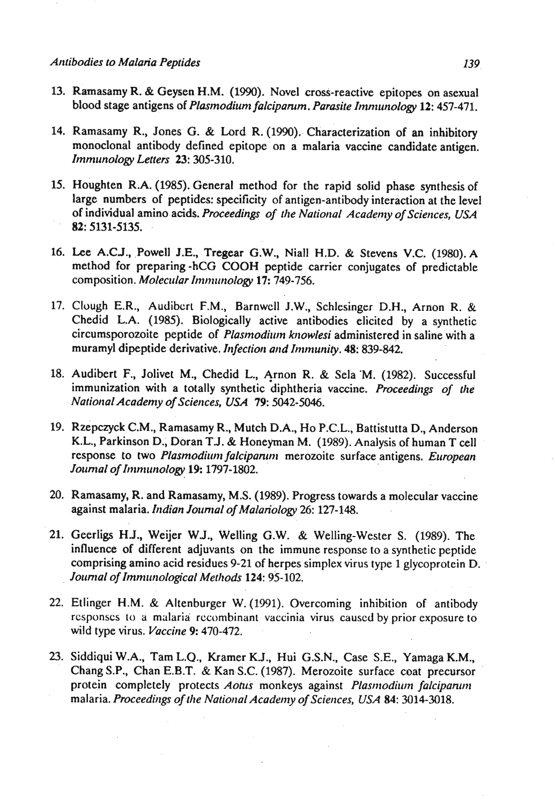- **13.** Ramasamy R. & Geysen H.M. **(1990).** Novel cross-reactive epitopes on asexual blood stage antigens of *Plasmodium falciparum. Parasite Immunology* 12: 457-471.
- 14. Ramasamy R., Jones G. & Lord R. (1990). Characterization of an inhibitory monoclonal antibody defined epitope on a malaria vaccine candidate antigen. *Immunology Letters* 23: **305-310.**
- **15.** ought en R.A. **(1985).** General method for the rapid solid phase synthesis of large numbers of peptides: specificity of antigen-antibody interaction at the level of individual amino acids. *Proceedings of the National Academy of Sciences, USA 82:* **5131-5135.**
- **16. Lee** A.C.J., Powell **J.E.,** Tregear **G.W.,** Niall H.D. & Stevens **V.C. (1980).** A method for preparing -hCG COOH peptide carrier conjugates of predictable composition. *Molecular Immunology* 17: 749-756.
- **17.** Clough **E.R.,** Audibcrt F.M., Barnwcll J.W., Schlesinger D.H., Arnon R. & Chedid L.A. **(1985).** Biologically active antibodies elicited by a synthetic circumsporozoite peptide of *Plasmodium knowlesi* administered in saline with a muramyl dipeptide derivative. *Infection and Immunity. 48:* **839-842.**
- 18. Audibert F., Jolivet M., Chedid L., Arnon R. & Sela M. (1982). Successful immunization with a totally synthetic diphtheria vaccine. *Proceedings of tlte Natiorral Academy of Sciences, USA 79:* **5042-5046.**
- **19.** Rzepczyck **C.M.,** Ramasamy R., Mutch D.A., Ho P.C.L., Battistutta D., Anderson **K.L.,** Parkinson D.; Doran **TJ.** & Honeyman M. **(1989).** Analysis of human T cell response to two *Plasmodium falciparum* merozoite surface antigens. *European Jorrnlal of I~nmw~ology* **19: 1797-1802.**
- **20.** Ramasamy, R. and Ramasamy, M.S. **(1989).** Progress towards a molecular vaccine against malaria. *Indian Journal of Malariology* 26: 127-148.
- **21.** Geerligs H.J., Weijer WJ., Welling G.W. & Welling-Wester S. **(1989).** The influence of different adjuvants on the immune response to a synthetic peptide comprising amino acid residues **9-21** of herpes simplex virus type **1** glycoprotein D. *Jorintal of Imntrrnological Metliods 124:* **95-102.**
- **22.** Etlinger **H.M.** & Altenburger W. **(1991).** Overcoming inhibition of antibody rcsponses to a malaria recombinant vaccinia virus caused by prior exposure to wild type virus. *Vaccine* 9: **470-472.**
- 23. Siddiqui W.A., Tam L.Q., Kramer KJ., Hui G.S.N., Case S.E., Yamaga **K.M.,**  Chang S.P., Chan E.B.T. & Kan S.C. **(1987).** Merozoite surface coat precursor protein completely protects *Aotus* monkeys against *Plasmodium falcipanum* malaria. *Proceedings of the National Academy of Sciences, USA 84: 3014-3018.*